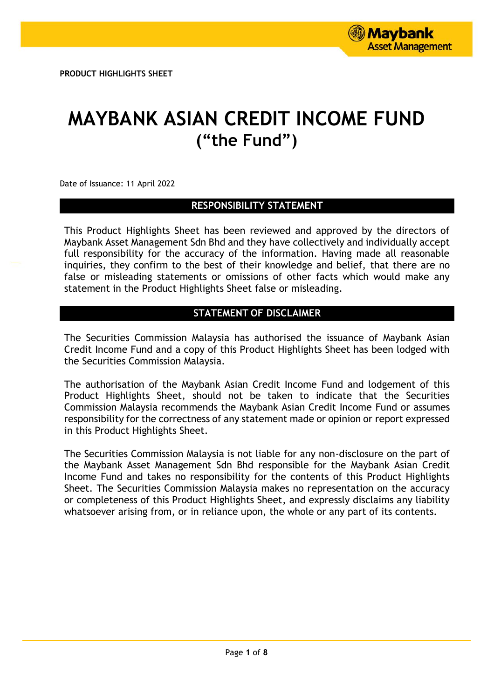# **MAYBANK ASIAN CREDIT INCOME FUND ("the Fund")**

Date of Issuance: 11 April 2022

# **RESPONSIBILITY STATEMENT**

This Product Highlights Sheet has been reviewed and approved by the directors of Maybank Asset Management Sdn Bhd and they have collectively and individually accept full responsibility for the accuracy of the information. Having made all reasonable inquiries, they confirm to the best of their knowledge and belief, that there are no false or misleading statements or omissions of other facts which would make any statement in the Product Highlights Sheet false or misleading.

# **STATEMENT OF DISCLAIMER**

The Securities Commission Malaysia has authorised the issuance of Maybank Asian Credit Income Fund and a copy of this Product Highlights Sheet has been lodged with the Securities Commission Malaysia.

The authorisation of the Maybank Asian Credit Income Fund and lodgement of this Product Highlights Sheet, should not be taken to indicate that the Securities Commission Malaysia recommends the Maybank Asian Credit Income Fund or assumes responsibility for the correctness of any statement made or opinion or report expressed in this Product Highlights Sheet.

The Securities Commission Malaysia is not liable for any non-disclosure on the part of the Maybank Asset Management Sdn Bhd responsible for the Maybank Asian Credit Income Fund and takes no responsibility for the contents of this Product Highlights Sheet. The Securities Commission Malaysia makes no representation on the accuracy or completeness of this Product Highlights Sheet, and expressly disclaims any liability whatsoever arising from, or in reliance upon, the whole or any part of its contents.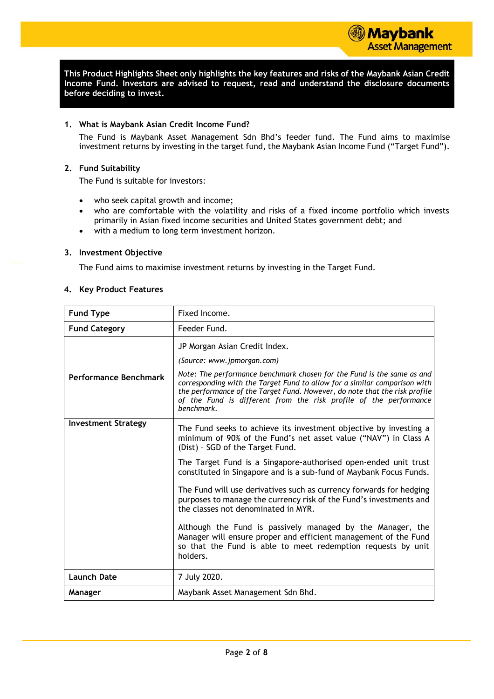**This Product Highlights Sheet only highlights the key features and risks of the Maybank Asian Credit Income Fund. Investors are advised to request, read and understand the disclosure documents before deciding to invest.**

#### **1. What is Maybank Asian Credit Income Fund?**

The Fund is Maybank Asset Management Sdn Bhd's feeder fund. The Fund aims to maximise investment returns by investing in the target fund, the Maybank Asian Income Fund ("Target Fund").

#### **2. Fund Suitability**

The Fund is suitable for investors:

- who seek capital growth and income;
- who are comfortable with the volatility and risks of a fixed income portfolio which invests primarily in Asian fixed income securities and United States government debt; and
- with a medium to long term investment horizon.

#### **3. Investment Objective**

The Fund aims to maximise investment returns by investing in the Target Fund.

#### **4. Key Product Features**

| <b>Fund Type</b>           | Fixed Income.                                                                                                                                                                                                                                                                                                        |
|----------------------------|----------------------------------------------------------------------------------------------------------------------------------------------------------------------------------------------------------------------------------------------------------------------------------------------------------------------|
| <b>Fund Category</b>       | Feeder Fund.                                                                                                                                                                                                                                                                                                         |
|                            | JP Morgan Asian Credit Index.                                                                                                                                                                                                                                                                                        |
|                            | (Source: www.jpmorgan.com)                                                                                                                                                                                                                                                                                           |
| Performance Benchmark      | Note: The performance benchmark chosen for the Fund is the same as and<br>corresponding with the Target Fund to allow for a similar comparison with<br>the performance of the Target Fund. However, do note that the risk profile<br>of the Fund is different from the risk profile of the performance<br>benchmark. |
| <b>Investment Strategy</b> | The Fund seeks to achieve its investment objective by investing a<br>minimum of 90% of the Fund's net asset value ("NAV") in Class A<br>(Dist) - SGD of the Target Fund.                                                                                                                                             |
|                            | The Target Fund is a Singapore-authorised open-ended unit trust<br>constituted in Singapore and is a sub-fund of Maybank Focus Funds.                                                                                                                                                                                |
|                            | The Fund will use derivatives such as currency forwards for hedging<br>purposes to manage the currency risk of the Fund's investments and<br>the classes not denominated in MYR.                                                                                                                                     |
|                            | Although the Fund is passively managed by the Manager, the<br>Manager will ensure proper and efficient management of the Fund<br>so that the Fund is able to meet redemption requests by unit<br>holders.                                                                                                            |
| <b>Launch Date</b>         | 7 July 2020.                                                                                                                                                                                                                                                                                                         |
| Manager                    | Maybank Asset Management Sdn Bhd.                                                                                                                                                                                                                                                                                    |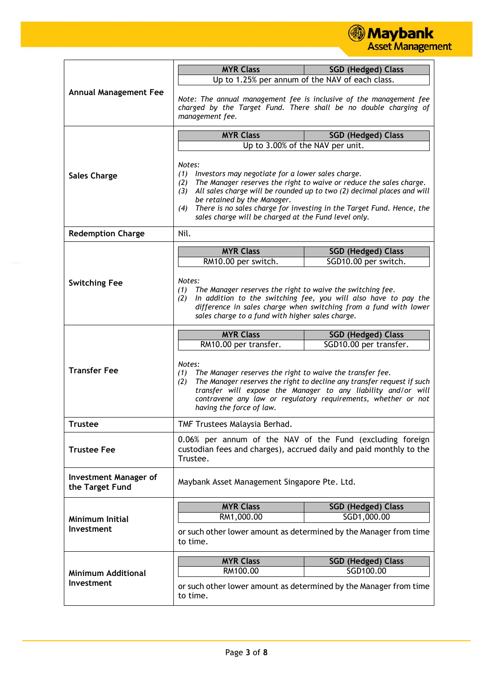

|                                                 | <b>MYR Class</b>                                                                                                                                                                                                                                                                                                                                                                                      | <b>SGD (Hedged) Class</b>                                                                                                              |  |
|-------------------------------------------------|-------------------------------------------------------------------------------------------------------------------------------------------------------------------------------------------------------------------------------------------------------------------------------------------------------------------------------------------------------------------------------------------------------|----------------------------------------------------------------------------------------------------------------------------------------|--|
|                                                 | Up to 1.25% per annum of the NAV of each class.                                                                                                                                                                                                                                                                                                                                                       |                                                                                                                                        |  |
| <b>Annual Management Fee</b>                    | management fee.                                                                                                                                                                                                                                                                                                                                                                                       | Note: The annual management fee is inclusive of the management fee<br>charged by the Target Fund. There shall be no double charging of |  |
|                                                 | <b>MYR Class</b>                                                                                                                                                                                                                                                                                                                                                                                      | <b>SGD (Hedged) Class</b>                                                                                                              |  |
|                                                 | Up to 3.00% of the NAV per unit.                                                                                                                                                                                                                                                                                                                                                                      |                                                                                                                                        |  |
| <b>Sales Charge</b>                             | Notes:<br>(1) Investors may negotiate for a lower sales charge.<br>The Manager reserves the right to waive or reduce the sales charge.<br>(2)<br>All sales charge will be rounded up to two (2) decimal places and will<br>(3)<br>be retained by the Manager.<br>There is no sales charge for investing in the Target Fund. Hence, the<br>(4)<br>sales charge will be charged at the Fund level only. |                                                                                                                                        |  |
| <b>Redemption Charge</b>                        | Nil.                                                                                                                                                                                                                                                                                                                                                                                                  |                                                                                                                                        |  |
|                                                 | <b>MYR Class</b>                                                                                                                                                                                                                                                                                                                                                                                      | <b>SGD (Hedged) Class</b>                                                                                                              |  |
|                                                 | RM10.00 per switch.                                                                                                                                                                                                                                                                                                                                                                                   | SGD10.00 per switch.                                                                                                                   |  |
|                                                 |                                                                                                                                                                                                                                                                                                                                                                                                       |                                                                                                                                        |  |
| <b>Switching Fee</b>                            | Notes:<br>The Manager reserves the right to waive the switching fee.<br>(1)                                                                                                                                                                                                                                                                                                                           |                                                                                                                                        |  |
|                                                 | (2)                                                                                                                                                                                                                                                                                                                                                                                                   | In addition to the switching fee, you will also have to pay the                                                                        |  |
|                                                 | sales charge to a fund with higher sales charge.                                                                                                                                                                                                                                                                                                                                                      | difference in sales charge when switching from a fund with lower                                                                       |  |
|                                                 |                                                                                                                                                                                                                                                                                                                                                                                                       |                                                                                                                                        |  |
|                                                 | <b>MYR Class</b>                                                                                                                                                                                                                                                                                                                                                                                      | <b>SGD (Hedged) Class</b>                                                                                                              |  |
|                                                 | RM10.00 per transfer.                                                                                                                                                                                                                                                                                                                                                                                 | SGD10.00 per transfer.                                                                                                                 |  |
| <b>Transfer Fee</b>                             | Notes:<br>The Manager reserves the right to waive the transfer fee.<br>(1)<br>The Manager reserves the right to decline any transfer request if such<br>(2)<br>transfer will expose the Manager to any liability and/or will<br>contravene any law or regulatory requirements, whether or not<br>having the force of law.                                                                             |                                                                                                                                        |  |
| <b>Trustee</b>                                  | TMF Trustees Malaysia Berhad.                                                                                                                                                                                                                                                                                                                                                                         |                                                                                                                                        |  |
| <b>Trustee Fee</b>                              | 0.06% per annum of the NAV of the Fund (excluding foreign<br>custodian fees and charges), accrued daily and paid monthly to the<br>Trustee.                                                                                                                                                                                                                                                           |                                                                                                                                        |  |
| <b>Investment Manager of</b><br>the Target Fund | Maybank Asset Management Singapore Pte. Ltd.                                                                                                                                                                                                                                                                                                                                                          |                                                                                                                                        |  |
| Minimum Initial<br>Investment                   | <b>MYR Class</b>                                                                                                                                                                                                                                                                                                                                                                                      | <b>SGD (Hedged) Class</b>                                                                                                              |  |
|                                                 | RM1,000.00                                                                                                                                                                                                                                                                                                                                                                                            | SGD1,000.00                                                                                                                            |  |
|                                                 | or such other lower amount as determined by the Manager from time<br>to time.                                                                                                                                                                                                                                                                                                                         |                                                                                                                                        |  |
|                                                 | <b>MYR Class</b>                                                                                                                                                                                                                                                                                                                                                                                      | <b>SGD (Hedged) Class</b>                                                                                                              |  |
| <b>Minimum Additional</b>                       | RM100.00                                                                                                                                                                                                                                                                                                                                                                                              | SGD100.00                                                                                                                              |  |
| Investment                                      | or such other lower amount as determined by the Manager from time<br>to time.                                                                                                                                                                                                                                                                                                                         |                                                                                                                                        |  |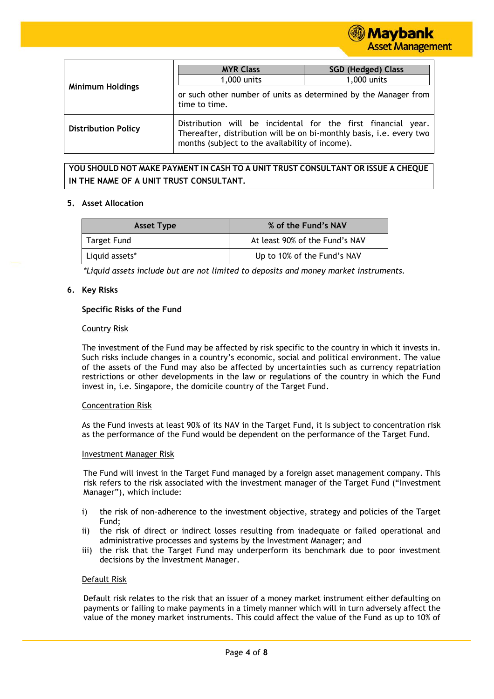

|                            | <b>MYR Class</b>                                                                                                                                                                            | <b>SGD (Hedged) Class</b> |
|----------------------------|---------------------------------------------------------------------------------------------------------------------------------------------------------------------------------------------|---------------------------|
|                            | 1,000 units                                                                                                                                                                                 | 1,000 units               |
| <b>Minimum Holdings</b>    | or such other number of units as determined by the Manager from<br>time to time.                                                                                                            |                           |
| <b>Distribution Policy</b> | Distribution will be incidental for the first financial<br>vear.<br>Thereafter, distribution will be on bi-monthly basis, i.e. every two<br>months (subject to the availability of income). |                           |

**YOU SHOULD NOT MAKE PAYMENT IN CASH TO A UNIT TRUST CONSULTANT OR ISSUE A CHEQUE IN THE NAME OF A UNIT TRUST CONSULTANT.**

#### **5. Asset Allocation**

| <b>Asset Type</b> | % of the Fund's NAV            |
|-------------------|--------------------------------|
| Target Fund       | At least 90% of the Fund's NAV |
| Liquid assets*    | Up to 10% of the Fund's NAV    |

*\*Liquid assets include but are not limited to deposits and money market instruments.*

#### **6. Key Risks**

#### **Specific Risks of the Fund**

#### Country Risk

The investment of the Fund may be affected by risk specific to the country in which it invests in. Such risks include changes in a country's economic, social and political environment. The value of the assets of the Fund may also be affected by uncertainties such as currency repatriation restrictions or other developments in the law or regulations of the country in which the Fund invest in, i.e. Singapore, the domicile country of the Target Fund.

#### Concentration Risk

As the Fund invests at least 90% of its NAV in the Target Fund, it is subject to concentration risk as the performance of the Fund would be dependent on the performance of the Target Fund.

#### Investment Manager Risk

The Fund will invest in the Target Fund managed by a foreign asset management company. This risk refers to the risk associated with the investment manager of the Target Fund ("Investment Manager"), which include:

- i) the risk of non-adherence to the investment objective, strategy and policies of the Target Fund;
- ii) the risk of direct or indirect losses resulting from inadequate or failed operational and administrative processes and systems by the Investment Manager; and
- iii) the risk that the Target Fund may underperform its benchmark due to poor investment decisions by the Investment Manager.

#### Default Risk

Default risk relates to the risk that an issuer of a money market instrument either defaulting on payments or failing to make payments in a timely manner which will in turn adversely affect the value of the money market instruments. This could affect the value of the Fund as up to 10% of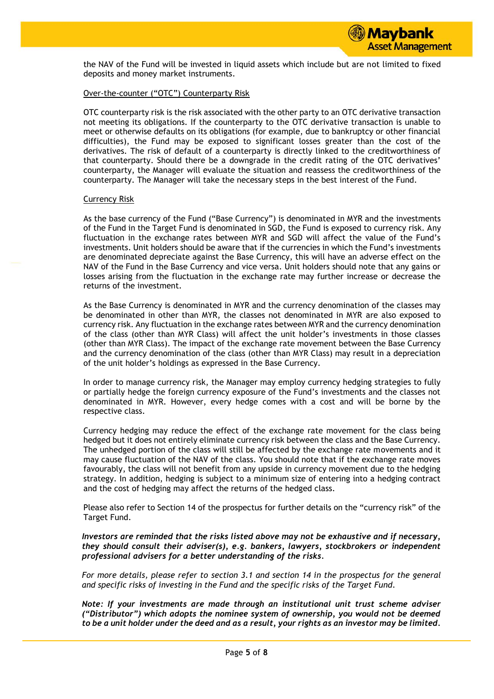the NAV of the Fund will be invested in liquid assets which include but are not limited to fixed deposits and money market instruments.

### Over-the-counter ("OTC") Counterparty Risk

OTC counterparty risk is the risk associated with the other party to an OTC derivative transaction not meeting its obligations. If the counterparty to the OTC derivative transaction is unable to meet or otherwise defaults on its obligations (for example, due to bankruptcy or other financial difficulties), the Fund may be exposed to significant losses greater than the cost of the derivatives. The risk of default of a counterparty is directly linked to the creditworthiness of that counterparty. Should there be a downgrade in the credit rating of the OTC derivatives' counterparty, the Manager will evaluate the situation and reassess the creditworthiness of the counterparty. The Manager will take the necessary steps in the best interest of the Fund.

#### Currency Risk

As the base currency of the Fund ("Base Currency") is denominated in MYR and the investments of the Fund in the Target Fund is denominated in SGD, the Fund is exposed to currency risk. Any fluctuation in the exchange rates between MYR and SGD will affect the value of the Fund's investments. Unit holders should be aware that if the currencies in which the Fund's investments are denominated depreciate against the Base Currency, this will have an adverse effect on the NAV of the Fund in the Base Currency and vice versa. Unit holders should note that any gains or losses arising from the fluctuation in the exchange rate may further increase or decrease the returns of the investment.

As the Base Currency is denominated in MYR and the currency denomination of the classes may be denominated in other than MYR, the classes not denominated in MYR are also exposed to currency risk. Any fluctuation in the exchange rates between MYR and the currency denomination of the class (other than MYR Class) will affect the unit holder's investments in those classes (other than MYR Class). The impact of the exchange rate movement between the Base Currency and the currency denomination of the class (other than MYR Class) may result in a depreciation of the unit holder's holdings as expressed in the Base Currency.

In order to manage currency risk, the Manager may employ currency hedging strategies to fully or partially hedge the foreign currency exposure of the Fund's investments and the classes not denominated in MYR. However, every hedge comes with a cost and will be borne by the respective class.

Currency hedging may reduce the effect of the exchange rate movement for the class being hedged but it does not entirely eliminate currency risk between the class and the Base Currency. The unhedged portion of the class will still be affected by the exchange rate movements and it may cause fluctuation of the NAV of the class. You should note that if the exchange rate moves favourably, the class will not benefit from any upside in currency movement due to the hedging strategy. In addition, hedging is subject to a minimum size of entering into a hedging contract and the cost of hedging may affect the returns of the hedged class.

Please also refer to Section 14 of the prospectus for further details on the "currency risk" of the Target Fund.

*Investors are reminded that the risks listed above may not be exhaustive and if necessary, they should consult their adviser(s), e.g. bankers, lawyers, stockbrokers or independent professional advisers for a better understanding of the risks.*

*For more details, please refer to section 3.1 and section 14 in the prospectus for the general and specific risks of investing in the Fund and the specific risks of the Target Fund.*

*Note: If your investments are made through an institutional unit trust scheme adviser ("Distributor") which adopts the nominee system of ownership, you would not be deemed to be a unit holder under the deed and as a result, your rights as an investor may be limited.*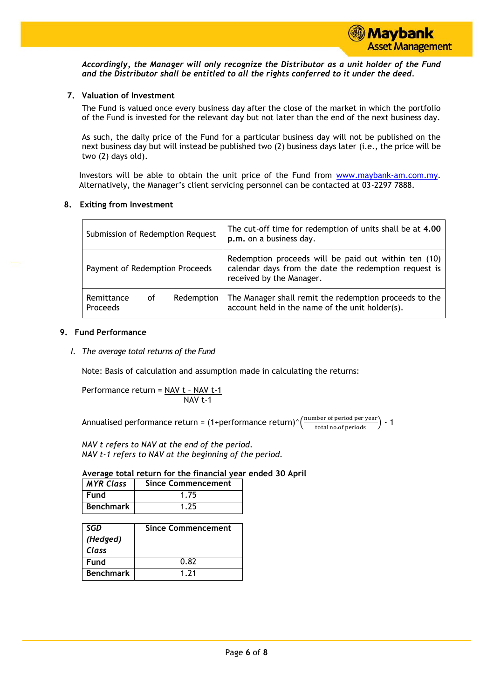

*Accordingly, the Manager will only recognize the Distributor as a unit holder of the Fund and the Distributor shall be entitled to all the rights conferred to it under the deed.*

# **7. Valuation of Investment**

The Fund is valued once every business day after the close of the market in which the portfolio of the Fund is invested for the relevant day but not later than the end of the next business day.

As such, the daily price of the Fund for a particular business day will not be published on the next business day but will instead be published two (2) business days later (i.e., the price will be two (2) days old).

Investors will be able to obtain the unit price of the Fund from [www.maybank-am.com.](http://www.maybank-am.com/)my. Alternatively, the Manager's client servicing personnel can be contacted at 03-2297 7888.

# **8. Exiting from Investment**

| Submission of Redemption Request |    |            | The cut-off time for redemption of units shall be at 4.00<br>p.m. on a business day.                                                      |
|----------------------------------|----|------------|-------------------------------------------------------------------------------------------------------------------------------------------|
| Payment of Redemption Proceeds   |    |            | Redemption proceeds will be paid out within ten (10)<br>calendar days from the date the redemption request is<br>received by the Manager. |
| Remittance<br><b>Proceeds</b>    | οf | Redemption | The Manager shall remit the redemption proceeds to the<br>account held in the name of the unit holder(s).                                 |

#### **9. Fund Performance**

*I. The average total returns of the Fund*

Note: Basis of calculation and assumption made in calculating the returns:

Performance return = 
$$
\frac{NAV t - NAV t-1}{NAV t-1}
$$

Annualised performance return = (1+performance return)^ $\left(\frac{\text{number of period per year}}{\text{total no. of periods}}\right)$  - 1

*NAV t refers to NAV at the end of the period. NAV t-1 refers to NAV at the beginning of the period.*

# **Average total return for the financial year ended 30 April**

| <b>MYR Class</b> | Since Commencement |
|------------------|--------------------|
| l Fund           | 1.75               |
| <b>Benchmark</b> | 1.25               |

| SGD              | <b>Since Commencement</b> |
|------------------|---------------------------|
| (Hedged)         |                           |
| Class            |                           |
| Fund             | 0.82                      |
| <b>Benchmark</b> | 1.21                      |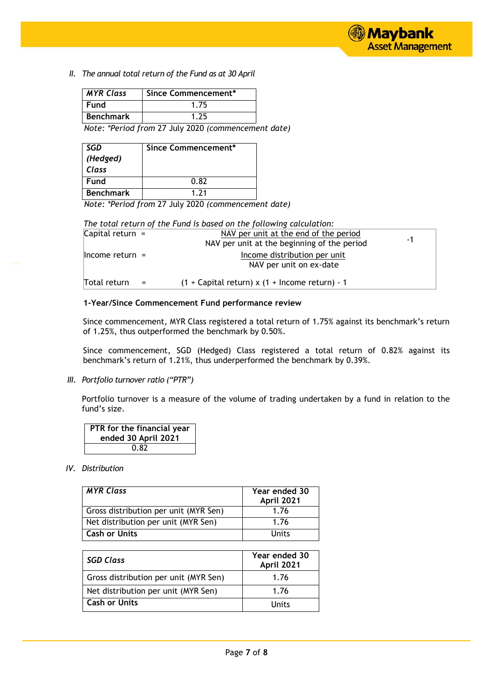*II. The annual total return of the Fund as at 30 April*

| <b>MYR Class</b> | Since Commencement* |
|------------------|---------------------|
| <b>Fund</b>      | 1.75                |
| <b>Benchmark</b> | 175                 |

 *Note: \*Period from* 27 July 2020 *(commencement date)*

| SGD              | Since Commencement* |
|------------------|---------------------|
| (Hedged)         |                     |
| Class            |                     |
| Fund             | 0.82                |
| <b>Benchmark</b> | 1.71                |

 *Note: \*Period from* 27 July 2020 *(commencement date)*

| The total return of the Fund is based on the following calculation: |                                                    |  |
|---------------------------------------------------------------------|----------------------------------------------------|--|
| Capital return $=$                                                  | NAV per unit at the end of the period<br>-1        |  |
|                                                                     | NAV per unit at the beginning of the period        |  |
| $l$ ncome return =                                                  | Income distribution per unit                       |  |
|                                                                     | NAV per unit on ex-date                            |  |
| Total return<br>$=$                                                 | $(1 +$ Capital return) x $(1 +$ Income return) - 1 |  |

#### **1-Year/Since Commencement Fund performance review**

Since commencement, MYR Class registered a total return of 1.75% against its benchmark's return of 1.25%, thus outperformed the benchmark by 0.50%.

Since commencement, SGD (Hedged) Class registered a total return of 0.82% against its benchmark's return of 1.21%, thus underperformed the benchmark by 0.39%.

*III. Portfolio turnover ratio ("PTR")*

Portfolio turnover is a measure of the volume of trading undertaken by a fund in relation to the fund's size.

| PTR for the financial year<br>ended 30 April 2021 |
|---------------------------------------------------|
| 0.82                                              |

# *IV. Distribution*

| <b>MYR Class</b>                      | Year ended 30<br><b>April 2021</b> |
|---------------------------------------|------------------------------------|
| Gross distribution per unit (MYR Sen) | 1.76                               |
| Net distribution per unit (MYR Sen)   | 1.76                               |
| <b>Cash or Units</b>                  | Units                              |

| <b>SGD Class</b>                      | Year ended 30<br>April 2021 |
|---------------------------------------|-----------------------------|
| Gross distribution per unit (MYR Sen) | 1.76                        |
| Net distribution per unit (MYR Sen)   | 1.76                        |
| <b>Cash or Units</b>                  | Units                       |